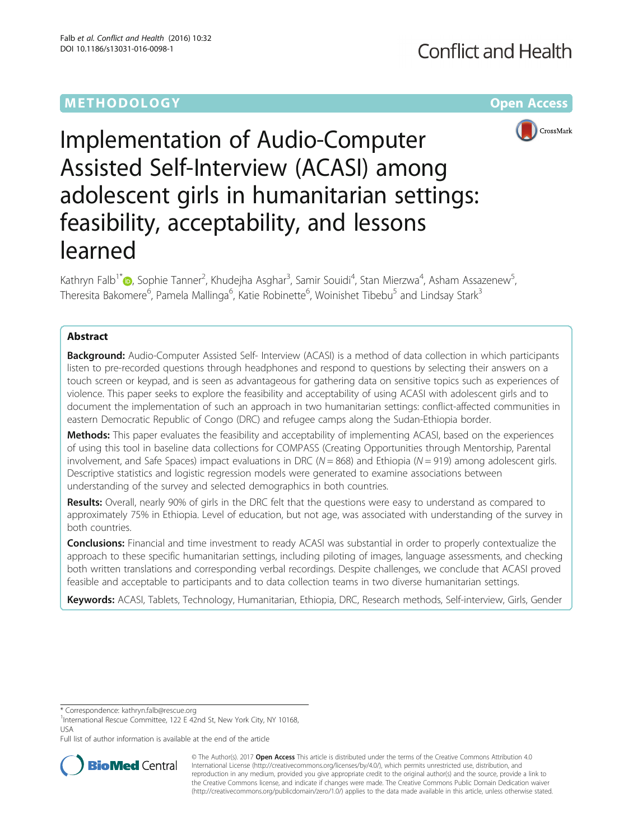# **METHODOLOGY CONSUMING ACCESS CONSUMING ACCESS**

# **Conflict and Health**



Implementation of Audio-Computer Assisted Self-Interview (ACASI) among adolescent girls in humanitarian settings: feasibility, acceptability, and lessons learned

Kathryn Falb<sup>1\*</sup>iD, Sophie Tanner<sup>2</sup>, Khudejha Asghar<sup>3</sup>, Samir Souidi<sup>4</sup>, Stan Mierzwa<sup>4</sup>, Asham Assazenew<sup>5</sup> , Theresita Bakomere<sup>6</sup>, Pamela Mallinga<sup>6</sup>, Katie Robinette<sup>6</sup>, Woinishet Tibebu<sup>5</sup> and Lindsay Stark<sup>3</sup>

# Abstract

**Background:** Audio-Computer Assisted Self- Interview (ACASI) is a method of data collection in which participants listen to pre-recorded questions through headphones and respond to questions by selecting their answers on a touch screen or keypad, and is seen as advantageous for gathering data on sensitive topics such as experiences of violence. This paper seeks to explore the feasibility and acceptability of using ACASI with adolescent girls and to document the implementation of such an approach in two humanitarian settings: conflict-affected communities in eastern Democratic Republic of Congo (DRC) and refugee camps along the Sudan-Ethiopia border.

Methods: This paper evaluates the feasibility and acceptability of implementing ACASI, based on the experiences of using this tool in baseline data collections for COMPASS (Creating Opportunities through Mentorship, Parental involvement, and Safe Spaces) impact evaluations in DRC ( $N = 868$ ) and Ethiopia ( $N = 919$ ) among adolescent girls. Descriptive statistics and logistic regression models were generated to examine associations between understanding of the survey and selected demographics in both countries.

Results: Overall, nearly 90% of girls in the DRC felt that the questions were easy to understand as compared to approximately 75% in Ethiopia. Level of education, but not age, was associated with understanding of the survey in both countries.

Conclusions: Financial and time investment to ready ACASI was substantial in order to properly contextualize the approach to these specific humanitarian settings, including piloting of images, language assessments, and checking both written translations and corresponding verbal recordings. Despite challenges, we conclude that ACASI proved feasible and acceptable to participants and to data collection teams in two diverse humanitarian settings.

Keywords: ACASI, Tablets, Technology, Humanitarian, Ethiopia, DRC, Research methods, Self-interview, Girls, Gender

\* Correspondence: [kathryn.falb@rescue.org](mailto:kathryn.falb@rescue.org) <sup>1</sup>

<sup>1</sup>International Rescue Committee, 122 E 42nd St, New York City, NY 10168, USA

Full list of author information is available at the end of the article



© The Author(s). 2017 **Open Access** This article is distributed under the terms of the Creative Commons Attribution 4.0 International License [\(http://creativecommons.org/licenses/by/4.0/](http://creativecommons.org/licenses/by/4.0/)), which permits unrestricted use, distribution, and reproduction in any medium, provided you give appropriate credit to the original author(s) and the source, provide a link to the Creative Commons license, and indicate if changes were made. The Creative Commons Public Domain Dedication waiver [\(http://creativecommons.org/publicdomain/zero/1.0/](http://creativecommons.org/publicdomain/zero/1.0/)) applies to the data made available in this article, unless otherwise stated.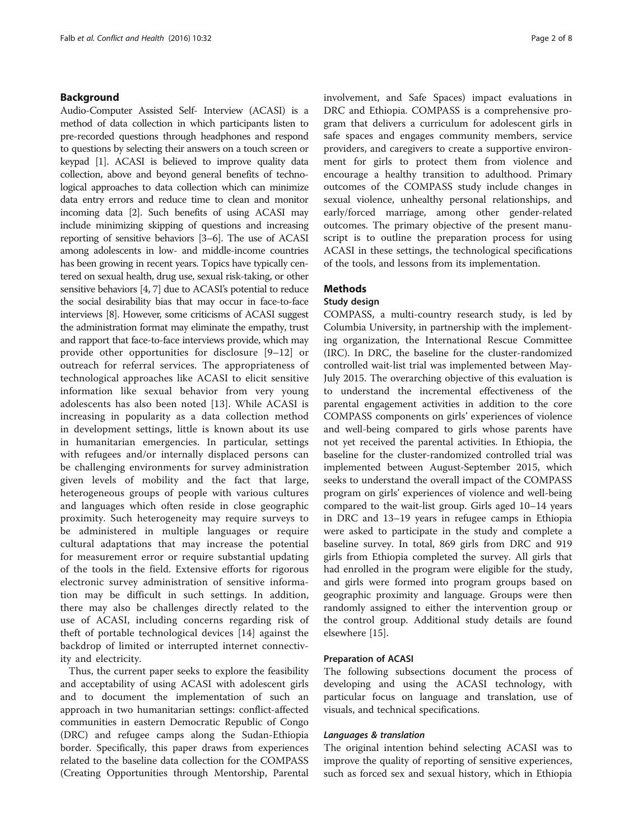## Background

Audio-Computer Assisted Self- Interview (ACASI) is a method of data collection in which participants listen to pre-recorded questions through headphones and respond to questions by selecting their answers on a touch screen or keypad [[1](#page-7-0)]. ACASI is believed to improve quality data collection, above and beyond general benefits of technological approaches to data collection which can minimize data entry errors and reduce time to clean and monitor incoming data [\[2\]](#page-7-0). Such benefits of using ACASI may include minimizing skipping of questions and increasing reporting of sensitive behaviors [[3](#page-7-0)–[6\]](#page-7-0). The use of ACASI among adolescents in low- and middle-income countries has been growing in recent years. Topics have typically centered on sexual health, drug use, sexual risk-taking, or other sensitive behaviors [[4](#page-7-0), [7\]](#page-7-0) due to ACASI's potential to reduce the social desirability bias that may occur in face-to-face interviews [[8](#page-7-0)]. However, some criticisms of ACASI suggest the administration format may eliminate the empathy, trust and rapport that face-to-face interviews provide, which may provide other opportunities for disclosure [[9](#page-7-0)–[12\]](#page-7-0) or outreach for referral services. The appropriateness of technological approaches like ACASI to elicit sensitive information like sexual behavior from very young adolescents has also been noted [[13\]](#page-7-0). While ACASI is increasing in popularity as a data collection method in development settings, little is known about its use in humanitarian emergencies. In particular, settings with refugees and/or internally displaced persons can be challenging environments for survey administration given levels of mobility and the fact that large, heterogeneous groups of people with various cultures and languages which often reside in close geographic proximity. Such heterogeneity may require surveys to be administered in multiple languages or require cultural adaptations that may increase the potential for measurement error or require substantial updating of the tools in the field. Extensive efforts for rigorous electronic survey administration of sensitive information may be difficult in such settings. In addition, there may also be challenges directly related to the use of ACASI, including concerns regarding risk of theft of portable technological devices [\[14](#page-7-0)] against the backdrop of limited or interrupted internet connectivity and electricity.

Thus, the current paper seeks to explore the feasibility and acceptability of using ACASI with adolescent girls and to document the implementation of such an approach in two humanitarian settings: conflict-affected communities in eastern Democratic Republic of Congo (DRC) and refugee camps along the Sudan-Ethiopia border. Specifically, this paper draws from experiences related to the baseline data collection for the COMPASS (Creating Opportunities through Mentorship, Parental involvement, and Safe Spaces) impact evaluations in DRC and Ethiopia. COMPASS is a comprehensive program that delivers a curriculum for adolescent girls in safe spaces and engages community members, service providers, and caregivers to create a supportive environment for girls to protect them from violence and encourage a healthy transition to adulthood. Primary outcomes of the COMPASS study include changes in sexual violence, unhealthy personal relationships, and early/forced marriage, among other gender-related outcomes. The primary objective of the present manuscript is to outline the preparation process for using ACASI in these settings, the technological specifications of the tools, and lessons from its implementation.

# Methods

### Study design

COMPASS, a multi-country research study, is led by Columbia University, in partnership with the implementing organization, the International Rescue Committee (IRC). In DRC, the baseline for the cluster-randomized controlled wait-list trial was implemented between May-July 2015. The overarching objective of this evaluation is to understand the incremental effectiveness of the parental engagement activities in addition to the core COMPASS components on girls' experiences of violence and well-being compared to girls whose parents have not yet received the parental activities. In Ethiopia, the baseline for the cluster-randomized controlled trial was implemented between August-September 2015, which seeks to understand the overall impact of the COMPASS program on girls' experiences of violence and well-being compared to the wait-list group. Girls aged 10–14 years in DRC and 13–19 years in refugee camps in Ethiopia were asked to participate in the study and complete a baseline survey. In total, 869 girls from DRC and 919 girls from Ethiopia completed the survey. All girls that had enrolled in the program were eligible for the study, and girls were formed into program groups based on geographic proximity and language. Groups were then randomly assigned to either the intervention group or the control group. Additional study details are found elsewhere [[15](#page-7-0)].

#### Preparation of ACASI

The following subsections document the process of developing and using the ACASI technology, with particular focus on language and translation, use of visuals, and technical specifications.

#### Languages & translation

The original intention behind selecting ACASI was to improve the quality of reporting of sensitive experiences, such as forced sex and sexual history, which in Ethiopia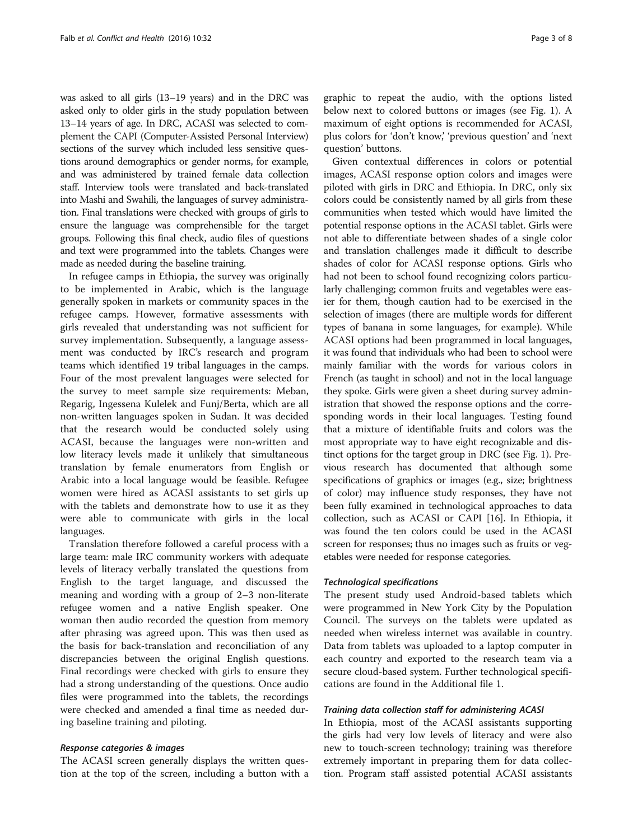was asked to all girls (13–19 years) and in the DRC was asked only to older girls in the study population between 13–14 years of age. In DRC, ACASI was selected to complement the CAPI (Computer-Assisted Personal Interview) sections of the survey which included less sensitive questions around demographics or gender norms, for example, and was administered by trained female data collection staff. Interview tools were translated and back-translated into Mashi and Swahili, the languages of survey administration. Final translations were checked with groups of girls to ensure the language was comprehensible for the target groups. Following this final check, audio files of questions and text were programmed into the tablets. Changes were made as needed during the baseline training.

In refugee camps in Ethiopia, the survey was originally to be implemented in Arabic, which is the language generally spoken in markets or community spaces in the refugee camps. However, formative assessments with girls revealed that understanding was not sufficient for survey implementation. Subsequently, a language assessment was conducted by IRC's research and program teams which identified 19 tribal languages in the camps. Four of the most prevalent languages were selected for the survey to meet sample size requirements: Meban, Regarig, Ingessena Kulelek and Funj/Berta, which are all non-written languages spoken in Sudan. It was decided that the research would be conducted solely using ACASI, because the languages were non-written and low literacy levels made it unlikely that simultaneous translation by female enumerators from English or Arabic into a local language would be feasible. Refugee women were hired as ACASI assistants to set girls up with the tablets and demonstrate how to use it as they were able to communicate with girls in the local languages.

Translation therefore followed a careful process with a large team: male IRC community workers with adequate levels of literacy verbally translated the questions from English to the target language, and discussed the meaning and wording with a group of 2–3 non-literate refugee women and a native English speaker. One woman then audio recorded the question from memory after phrasing was agreed upon. This was then used as the basis for back-translation and reconciliation of any discrepancies between the original English questions. Final recordings were checked with girls to ensure they had a strong understanding of the questions. Once audio files were programmed into the tablets, the recordings were checked and amended a final time as needed during baseline training and piloting.

#### Response categories & images

The ACASI screen generally displays the written question at the top of the screen, including a button with a graphic to repeat the audio, with the options listed below next to colored buttons or images (see Fig. [1\)](#page-3-0). A maximum of eight options is recommended for ACASI, plus colors for 'don't know,' 'previous question' and 'next question' buttons.

Given contextual differences in colors or potential images, ACASI response option colors and images were piloted with girls in DRC and Ethiopia. In DRC, only six colors could be consistently named by all girls from these communities when tested which would have limited the potential response options in the ACASI tablet. Girls were not able to differentiate between shades of a single color and translation challenges made it difficult to describe shades of color for ACASI response options. Girls who had not been to school found recognizing colors particularly challenging; common fruits and vegetables were easier for them, though caution had to be exercised in the selection of images (there are multiple words for different types of banana in some languages, for example). While ACASI options had been programmed in local languages, it was found that individuals who had been to school were mainly familiar with the words for various colors in French (as taught in school) and not in the local language they spoke. Girls were given a sheet during survey administration that showed the response options and the corresponding words in their local languages. Testing found that a mixture of identifiable fruits and colors was the most appropriate way to have eight recognizable and distinct options for the target group in DRC (see Fig. [1\)](#page-3-0). Previous research has documented that although some specifications of graphics or images (e.g., size; brightness of color) may influence study responses, they have not been fully examined in technological approaches to data collection, such as ACASI or CAPI [\[16\]](#page-7-0). In Ethiopia, it was found the ten colors could be used in the ACASI screen for responses; thus no images such as fruits or vegetables were needed for response categories.

#### Technological specifications

The present study used Android-based tablets which were programmed in New York City by the Population Council. The surveys on the tablets were updated as needed when wireless internet was available in country. Data from tablets was uploaded to a laptop computer in each country and exported to the research team via a secure cloud-based system. Further technological specifications are found in the Additional file [1.](#page-6-0)

#### Training data collection staff for administering ACASI

In Ethiopia, most of the ACASI assistants supporting the girls had very low levels of literacy and were also new to touch-screen technology; training was therefore extremely important in preparing them for data collection. Program staff assisted potential ACASI assistants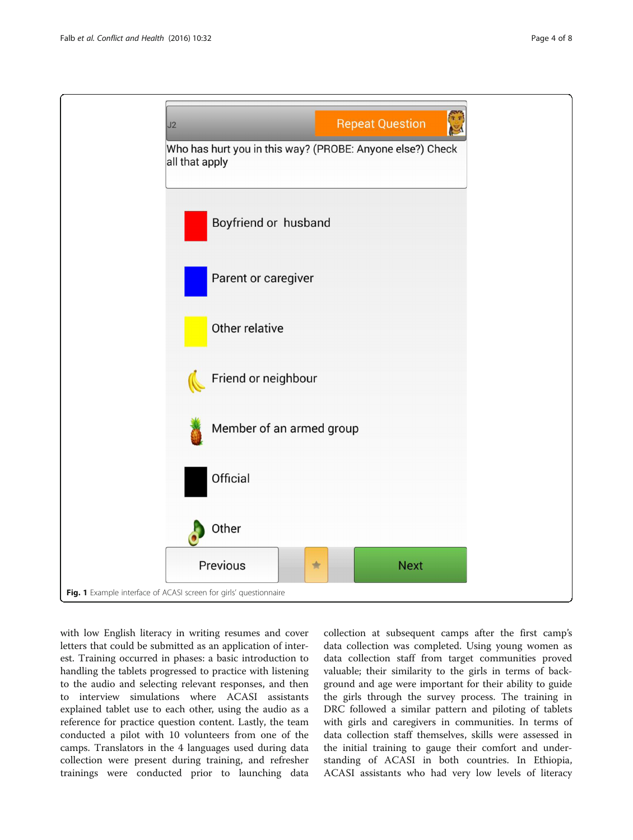<span id="page-3-0"></span>

with low English literacy in writing resumes and cover letters that could be submitted as an application of interest. Training occurred in phases: a basic introduction to handling the tablets progressed to practice with listening to the audio and selecting relevant responses, and then to interview simulations where ACASI assistants explained tablet use to each other, using the audio as a reference for practice question content. Lastly, the team conducted a pilot with 10 volunteers from one of the camps. Translators in the 4 languages used during data collection were present during training, and refresher trainings were conducted prior to launching data collection at subsequent camps after the first camp's data collection was completed. Using young women as data collection staff from target communities proved valuable; their similarity to the girls in terms of background and age were important for their ability to guide the girls through the survey process. The training in DRC followed a similar pattern and piloting of tablets with girls and caregivers in communities. In terms of data collection staff themselves, skills were assessed in the initial training to gauge their comfort and understanding of ACASI in both countries. In Ethiopia, ACASI assistants who had very low levels of literacy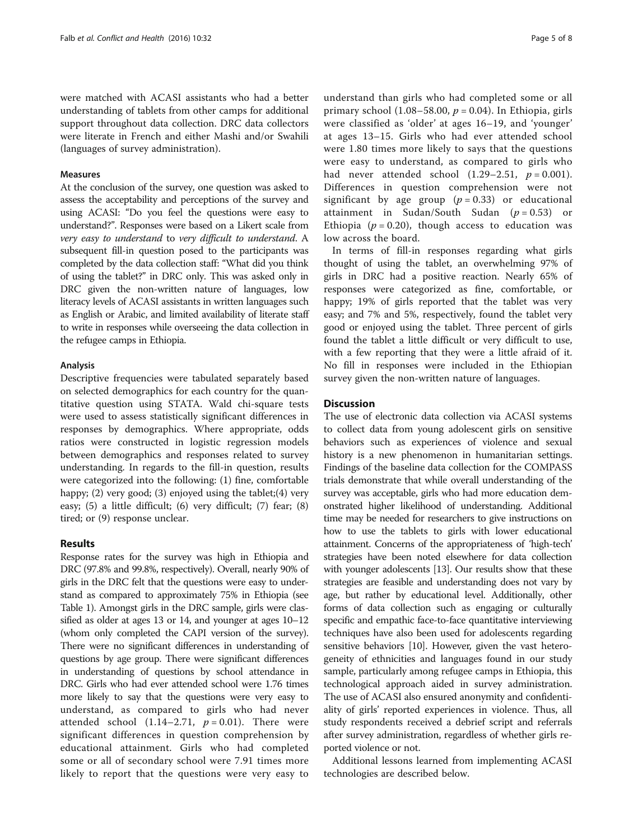were matched with ACASI assistants who had a better understanding of tablets from other camps for additional support throughout data collection. DRC data collectors were literate in French and either Mashi and/or Swahili (languages of survey administration).

#### Measures

At the conclusion of the survey, one question was asked to assess the acceptability and perceptions of the survey and using ACASI: "Do you feel the questions were easy to understand?". Responses were based on a Likert scale from very easy to understand to very difficult to understand. A subsequent fill-in question posed to the participants was completed by the data collection staff: "What did you think of using the tablet?" in DRC only. This was asked only in DRC given the non-written nature of languages, low literacy levels of ACASI assistants in written languages such as English or Arabic, and limited availability of literate staff to write in responses while overseeing the data collection in the refugee camps in Ethiopia.

#### Analysis

Descriptive frequencies were tabulated separately based on selected demographics for each country for the quantitative question using STATA. Wald chi-square tests were used to assess statistically significant differences in responses by demographics. Where appropriate, odds ratios were constructed in logistic regression models between demographics and responses related to survey understanding. In regards to the fill-in question, results were categorized into the following: (1) fine, comfortable happy; (2) very good; (3) enjoyed using the tablet;(4) very easy; (5) a little difficult; (6) very difficult; (7) fear; (8) tired; or (9) response unclear.

## Results

Response rates for the survey was high in Ethiopia and DRC (97.8% and 99.8%, respectively). Overall, nearly 90% of girls in the DRC felt that the questions were easy to understand as compared to approximately 75% in Ethiopia (see Table [1](#page-5-0)). Amongst girls in the DRC sample, girls were classified as older at ages 13 or 14, and younger at ages 10–12 (whom only completed the CAPI version of the survey). There were no significant differences in understanding of questions by age group. There were significant differences in understanding of questions by school attendance in DRC. Girls who had ever attended school were 1.76 times more likely to say that the questions were very easy to understand, as compared to girls who had never attended school  $(1.14-2.71, p=0.01)$ . There were significant differences in question comprehension by educational attainment. Girls who had completed some or all of secondary school were 7.91 times more likely to report that the questions were very easy to

understand than girls who had completed some or all primary school (1.08–58.00,  $p = 0.04$ ). In Ethiopia, girls were classified as 'older' at ages 16–19, and 'younger' at ages 13–15. Girls who had ever attended school were 1.80 times more likely to says that the questions were easy to understand, as compared to girls who had never attended school  $(1.29-2.51, p = 0.001)$ . Differences in question comprehension were not significant by age group  $(p = 0.33)$  or educational attainment in Sudan/South Sudan  $(p = 0.53)$  or Ethiopia ( $p = 0.20$ ), though access to education was low across the board.

In terms of fill-in responses regarding what girls thought of using the tablet, an overwhelming 97% of girls in DRC had a positive reaction. Nearly 65% of responses were categorized as fine, comfortable, or happy; 19% of girls reported that the tablet was very easy; and 7% and 5%, respectively, found the tablet very good or enjoyed using the tablet. Three percent of girls found the tablet a little difficult or very difficult to use, with a few reporting that they were a little afraid of it. No fill in responses were included in the Ethiopian survey given the non-written nature of languages.

#### **Discussion**

The use of electronic data collection via ACASI systems to collect data from young adolescent girls on sensitive behaviors such as experiences of violence and sexual history is a new phenomenon in humanitarian settings. Findings of the baseline data collection for the COMPASS trials demonstrate that while overall understanding of the survey was acceptable, girls who had more education demonstrated higher likelihood of understanding. Additional time may be needed for researchers to give instructions on how to use the tablets to girls with lower educational attainment. Concerns of the appropriateness of 'high-tech' strategies have been noted elsewhere for data collection with younger adolescents [[13](#page-7-0)]. Our results show that these strategies are feasible and understanding does not vary by age, but rather by educational level. Additionally, other forms of data collection such as engaging or culturally specific and empathic face-to-face quantitative interviewing techniques have also been used for adolescents regarding sensitive behaviors [[10](#page-7-0)]. However, given the vast heterogeneity of ethnicities and languages found in our study sample, particularly among refugee camps in Ethiopia, this technological approach aided in survey administration. The use of ACASI also ensured anonymity and confidentiality of girls' reported experiences in violence. Thus, all study respondents received a debrief script and referrals after survey administration, regardless of whether girls reported violence or not.

Additional lessons learned from implementing ACASI technologies are described below.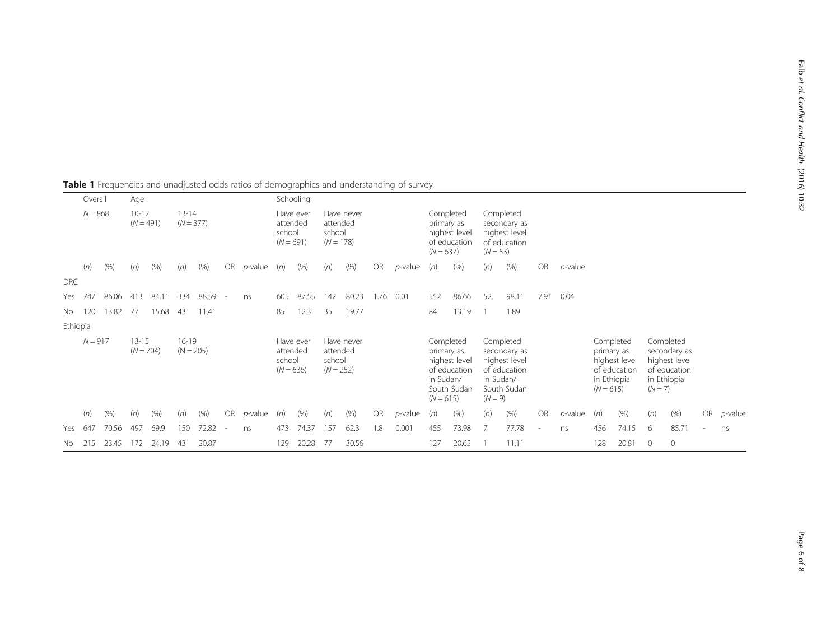|            | Overall   |       |                          | Age   |                          |       |           |                 |                                                | Schooling |                                                 |       |           |            |                                                                                                     |       |                                                                                                     |                                                            |                          |                 |                                                                                        |       |                                                                                        |         |        |            |
|------------|-----------|-------|--------------------------|-------|--------------------------|-------|-----------|-----------------|------------------------------------------------|-----------|-------------------------------------------------|-------|-----------|------------|-----------------------------------------------------------------------------------------------------|-------|-----------------------------------------------------------------------------------------------------|------------------------------------------------------------|--------------------------|-----------------|----------------------------------------------------------------------------------------|-------|----------------------------------------------------------------------------------------|---------|--------|------------|
|            | $N = 868$ |       | $10 - 12$<br>$(N = 491)$ |       | $13 - 14$<br>$(N = 377)$ |       |           |                 | Have ever<br>attended<br>school<br>$(N = 691)$ |           | Have never<br>attended<br>school<br>$(N = 178)$ |       |           |            | Completed<br>primary as<br>highest level<br>of education<br>$(N = 637)$                             |       | $(N = 53)$                                                                                          | Completed<br>secondary as<br>highest level<br>of education |                          |                 |                                                                                        |       |                                                                                        |         |        |            |
|            | (n)       | (% )  | (n)                      | (% )  | (n)                      | (% )  | OR        | <i>p</i> -value | (n)                                            | (% )      | (n)                                             | (% )  | <b>OR</b> | $p$ -value | (n)                                                                                                 | (% )  | (n)                                                                                                 | (% )                                                       | <b>OR</b>                | <i>p</i> -value |                                                                                        |       |                                                                                        |         |        |            |
| <b>DRC</b> |           |       |                          |       |                          |       |           |                 |                                                |           |                                                 |       |           |            |                                                                                                     |       |                                                                                                     |                                                            |                          |                 |                                                                                        |       |                                                                                        |         |        |            |
| Yes        | 747       | 86.06 | 413                      | 84.11 | 334                      | 88.59 | $\sim$    | ns              | 605                                            | 87.55     | 142                                             | 80.23 | 1.76      | 0.01       | 552                                                                                                 | 86.66 | 52                                                                                                  | 98.11                                                      | 7.91                     | 0.04            |                                                                                        |       |                                                                                        |         |        |            |
| No.        | 120       | 13.82 | 77                       | 15.68 | 43                       | 11.41 |           |                 | 85                                             | 12.3      | 35                                              | 19.77 |           |            | 84                                                                                                  | 13.19 |                                                                                                     | 1.89                                                       |                          |                 |                                                                                        |       |                                                                                        |         |        |            |
| Ethiopia   |           |       |                          |       |                          |       |           |                 |                                                |           |                                                 |       |           |            |                                                                                                     |       |                                                                                                     |                                                            |                          |                 |                                                                                        |       |                                                                                        |         |        |            |
|            | $N = 917$ |       | $13 - 15$<br>$(N = 704)$ |       | $16 - 19$<br>$(N = 205)$ |       |           |                 | Have ever<br>attended<br>school<br>$(N = 636)$ |           | Have never<br>attended<br>school<br>$(N = 252)$ |       |           |            | Completed<br>primary as<br>highest level<br>of education<br>in Sudan/<br>South Sudan<br>$(N = 615)$ |       | Completed<br>secondary as<br>highest level<br>of education<br>in Sudan/<br>South Sudan<br>$(N = 9)$ |                                                            |                          |                 | Completed<br>primary as<br>highest level<br>of education<br>in Ethiopia<br>$(N = 615)$ |       | Completed<br>secondary as<br>highest level<br>of education<br>in Ethiopia<br>$(N = 7)$ |         |        |            |
|            | (n)       | (9/6) | (n)                      | (9/6) | (n)                      | (% )  | <b>OR</b> | <i>p</i> -value | (n)                                            | (9/6)     | (n)                                             | (96)  | <b>OR</b> | $p$ -value | (n)                                                                                                 | (% )  | (n)                                                                                                 | (% )                                                       | <b>OR</b>                | $p$ -value      | (n)                                                                                    | (% )  | (n)                                                                                    | (% )    | OR     | $p$ -value |
| Yes        | 647       | 70.56 | 497                      | 69.9  | 150                      | 72.82 | $\sim$    | ns              | 473                                            | 74.37     | 157                                             | 62.3  | 1.8       | 0.001      | 455                                                                                                 | 73.98 |                                                                                                     | 77.78                                                      | $\overline{\phantom{a}}$ | ns              | 456                                                                                    | 74.15 | 6                                                                                      | 85.71   | $\sim$ | ns         |
| No.        | 215       | 23.45 | 172                      | 24.19 | 43                       | 20.87 |           |                 | 129                                            | 20.28     | - 77                                            | 30.56 |           |            | 127                                                                                                 | 20.65 |                                                                                                     | 11.11                                                      |                          |                 | 128                                                                                    | 20.81 | $\overline{0}$                                                                         | $\circ$ |        |            |

# <span id="page-5-0"></span>Table 1 Frequencies and unadjusted odds ratios of demographics and understanding of survey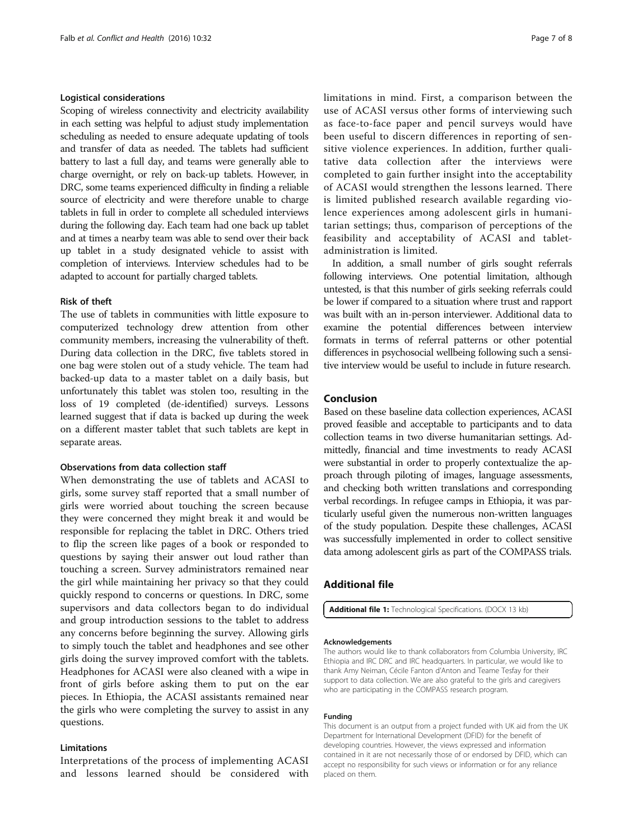#### <span id="page-6-0"></span>Logistical considerations

Scoping of wireless connectivity and electricity availability in each setting was helpful to adjust study implementation scheduling as needed to ensure adequate updating of tools and transfer of data as needed. The tablets had sufficient battery to last a full day, and teams were generally able to charge overnight, or rely on back-up tablets. However, in DRC, some teams experienced difficulty in finding a reliable source of electricity and were therefore unable to charge tablets in full in order to complete all scheduled interviews during the following day. Each team had one back up tablet and at times a nearby team was able to send over their back up tablet in a study designated vehicle to assist with completion of interviews. Interview schedules had to be adapted to account for partially charged tablets.

#### Risk of theft

The use of tablets in communities with little exposure to computerized technology drew attention from other community members, increasing the vulnerability of theft. During data collection in the DRC, five tablets stored in one bag were stolen out of a study vehicle. The team had backed-up data to a master tablet on a daily basis, but unfortunately this tablet was stolen too, resulting in the loss of 19 completed (de-identified) surveys. Lessons learned suggest that if data is backed up during the week on a different master tablet that such tablets are kept in separate areas.

#### Observations from data collection staff

When demonstrating the use of tablets and ACASI to girls, some survey staff reported that a small number of girls were worried about touching the screen because they were concerned they might break it and would be responsible for replacing the tablet in DRC. Others tried to flip the screen like pages of a book or responded to questions by saying their answer out loud rather than touching a screen. Survey administrators remained near the girl while maintaining her privacy so that they could quickly respond to concerns or questions. In DRC, some supervisors and data collectors began to do individual and group introduction sessions to the tablet to address any concerns before beginning the survey. Allowing girls to simply touch the tablet and headphones and see other girls doing the survey improved comfort with the tablets. Headphones for ACASI were also cleaned with a wipe in front of girls before asking them to put on the ear pieces. In Ethiopia, the ACASI assistants remained near the girls who were completing the survey to assist in any questions.

## Limitations

Interpretations of the process of implementing ACASI and lessons learned should be considered with limitations in mind. First, a comparison between the use of ACASI versus other forms of interviewing such as face-to-face paper and pencil surveys would have been useful to discern differences in reporting of sensitive violence experiences. In addition, further qualitative data collection after the interviews were completed to gain further insight into the acceptability of ACASI would strengthen the lessons learned. There is limited published research available regarding violence experiences among adolescent girls in humanitarian settings; thus, comparison of perceptions of the feasibility and acceptability of ACASI and tabletadministration is limited.

In addition, a small number of girls sought referrals following interviews. One potential limitation, although untested, is that this number of girls seeking referrals could be lower if compared to a situation where trust and rapport was built with an in-person interviewer. Additional data to examine the potential differences between interview formats in terms of referral patterns or other potential differences in psychosocial wellbeing following such a sensitive interview would be useful to include in future research.

## Conclusion

Based on these baseline data collection experiences, ACASI proved feasible and acceptable to participants and to data collection teams in two diverse humanitarian settings. Admittedly, financial and time investments to ready ACASI were substantial in order to properly contextualize the approach through piloting of images, language assessments, and checking both written translations and corresponding verbal recordings. In refugee camps in Ethiopia, it was particularly useful given the numerous non-written languages of the study population. Despite these challenges, ACASI was successfully implemented in order to collect sensitive data among adolescent girls as part of the COMPASS trials.

#### Additional file

[Additional file 1:](dx.doi.org/10.1186/s13031-016-0098-1) Technological Specifications. (DOCX 13 kb)

#### Acknowledgements

The authors would like to thank collaborators from Columbia University, IRC Ethiopia and IRC DRC and IRC headquarters. In particular, we would like to thank Amy Neiman, Cécile Fanton d'Anton and Teame Tesfay for their support to data collection. We are also grateful to the girls and caregivers who are participating in the COMPASS research program.

#### Funding

This document is an output from a project funded with UK aid from the UK Department for International Development (DFID) for the benefit of developing countries. However, the views expressed and information contained in it are not necessarily those of or endorsed by DFID, which can accept no responsibility for such views or information or for any reliance placed on them.